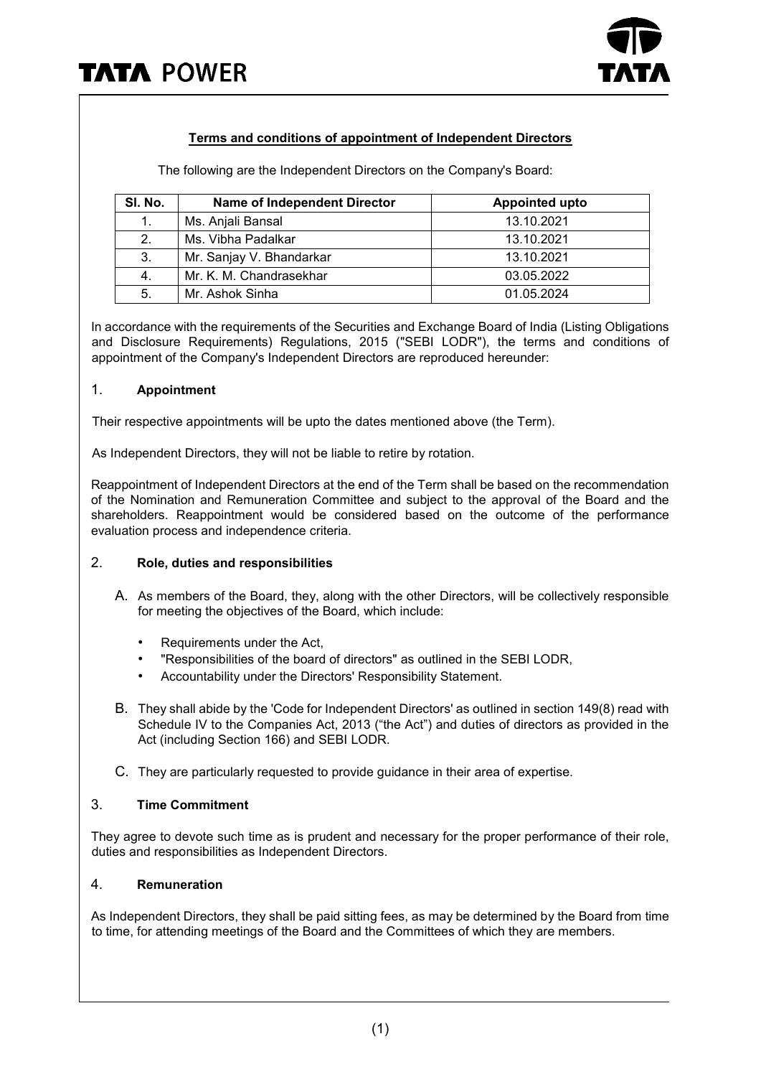

# **Terms and conditions of appointment of Independent Directors**

The following are the Independent Directors on the Company's Board:

| SI. No. | <b>Name of Independent Director</b> | <b>Appointed upto</b> |
|---------|-------------------------------------|-----------------------|
| 1.      | Ms. Anjali Bansal                   | 13.10.2021            |
| 2.      | Ms. Vibha Padalkar                  | 13.10.2021            |
| 3.      | Mr. Sanjay V. Bhandarkar            | 13.10.2021            |
| 4.      | Mr. K. M. Chandrasekhar             | 03.05.2022            |
| 5.      | Mr. Ashok Sinha                     | 01.05.2024            |

In accordance with the requirements of the Securities and Exchange Board of India (Listing Obligations and Disclosure Requirements) Regulations, 2015 ("SEBI LODR"), the terms and conditions of appointment of the Company's Independent Directors are reproduced hereunder:

#### 1. **Appointment**

Their respective appointments will be upto the dates mentioned above (the Term).

As Independent Directors, they will not be liable to retire by rotation.

Reappointment of Independent Directors at the end of the Term shall be based on the recommendation of the Nomination and Remuneration Committee and subject to the approval of the Board and the shareholders. Reappointment would be considered based on the outcome of the performance evaluation process and independence criteria.

#### 2. **Role, duties and responsibilities**

- A. As members of the Board, they, along with the other Directors, will be collectively responsible for meeting the objectives of the Board, which include:
	- Requirements under the Act,
	- "Responsibilities of the board of directors" as outlined in the SEBI LODR,
	- Accountability under the Directors' Responsibility Statement.
- B. They shall abide by the 'Code for Independent Directors' as outlined in section 149(8) read with Schedule IV to the Companies Act, 2013 ("the Act") and duties of directors as provided in the Act (including Section 166) and SEBI LODR.
- C. They are particularly requested to provide guidance in their area of expertise.

# 3. **Time Commitment**

They agree to devote such time as is prudent and necessary for the proper performance of their role, duties and responsibilities as Independent Directors.

#### 4. **Remuneration**

As Independent Directors, they shall be paid sitting fees, as may be determined by the Board from time to time, for attending meetings of the Board and the Committees of which they are members.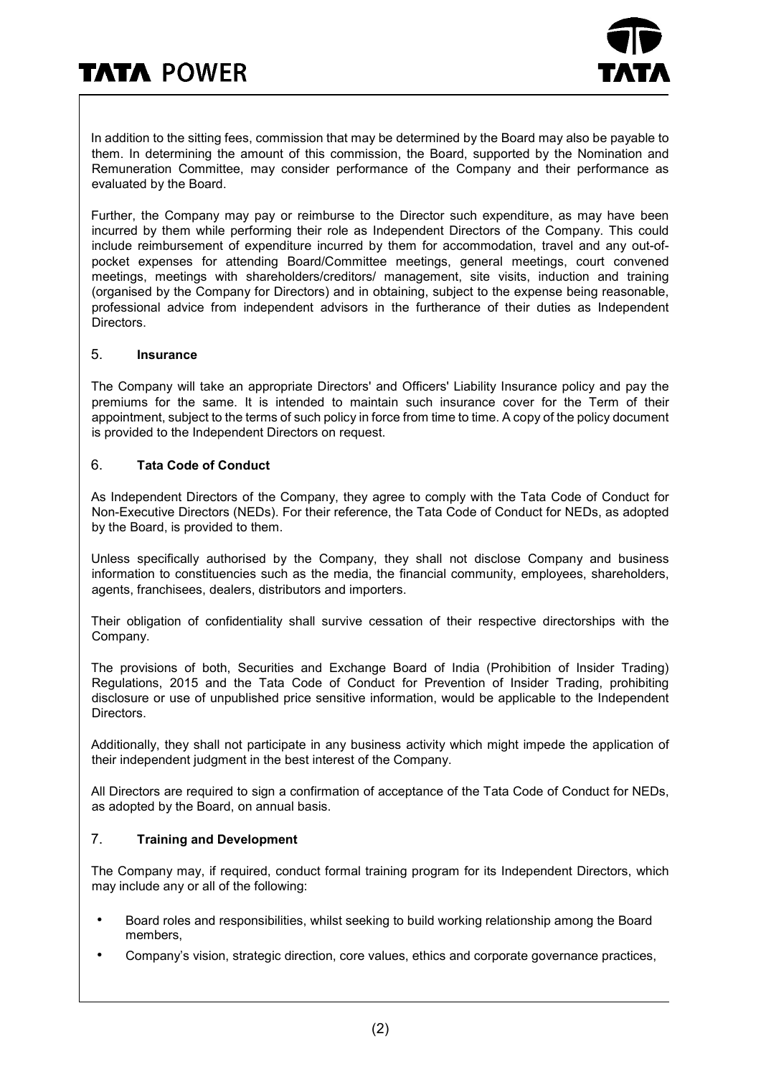

In addition to the sitting fees, commission that may be determined by the Board may also be payable to them. In determining the amount of this commission, the Board, supported by the Nomination and Remuneration Committee, may consider performance of the Company and their performance as evaluated by the Board.

Further, the Company may pay or reimburse to the Director such expenditure, as may have been incurred by them while performing their role as Independent Directors of the Company. This could include reimbursement of expenditure incurred by them for accommodation, travel and any out-ofpocket expenses for attending Board/Committee meetings, general meetings, court convened meetings, meetings with shareholders/creditors/ management, site visits, induction and training (organised by the Company for Directors) and in obtaining, subject to the expense being reasonable, professional advice from independent advisors in the furtherance of their duties as Independent Directors.

#### 5. **Insurance**

The Company will take an appropriate Directors' and Officers' Liability Insurance policy and pay the premiums for the same. It is intended to maintain such insurance cover for the Term of their appointment, subject to the terms of such policy in force from time to time. A copy of the policy document is provided to the Independent Directors on request.

#### 6. **Tata Code of Conduct**

As Independent Directors of the Company, they agree to comply with the Tata Code of Conduct for Non-Executive Directors (NEDs). For their reference, the Tata Code of Conduct for NEDs, as adopted by the Board, is provided to them.

Unless specifically authorised by the Company, they shall not disclose Company and business information to constituencies such as the media, the financial community, employees, shareholders, agents, franchisees, dealers, distributors and importers.

Their obligation of confidentiality shall survive cessation of their respective directorships with the Company.

The provisions of both, Securities and Exchange Board of India (Prohibition of Insider Trading) Regulations, 2015 and the Tata Code of Conduct for Prevention of Insider Trading, prohibiting disclosure or use of unpublished price sensitive information, would be applicable to the Independent Directors.

Additionally, they shall not participate in any business activity which might impede the application of their independent judgment in the best interest of the Company.

All Directors are required to sign a confirmation of acceptance of the Tata Code of Conduct for NEDs, as adopted by the Board, on annual basis.

## 7. **Training and Development**

The Company may, if required, conduct formal training program for its Independent Directors, which may include any or all of the following:

- Board roles and responsibilities, whilst seeking to build working relationship among the Board members,
- Company's vision, strategic direction, core values, ethics and corporate governance practices,